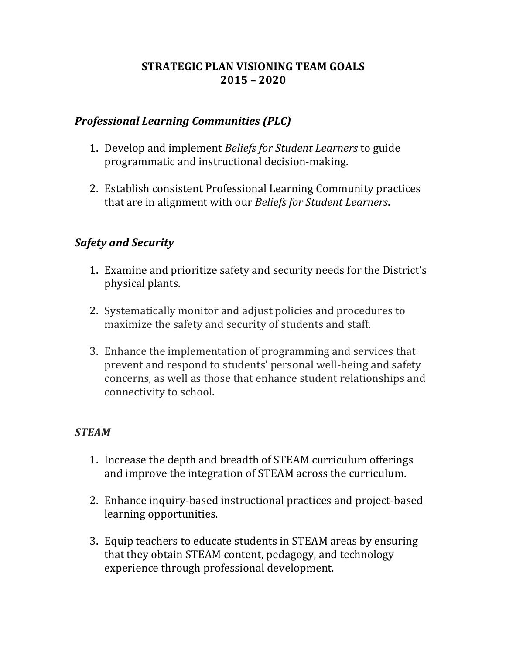## **STRATEGIC PLAN VISIONING TEAM GOALS 2015 – 2020**

## *Professional Learning Communities (PLC)*

- 1. Develop and implement *Beliefs for Student Learners* to guide programmatic and instructional decision-making.
- 2. Establish consistent Professional Learning Community practices that are in alignment with our *Beliefs for Student Learners*.

#### *Safety and Security*

- 1. Examine and prioritize safety and security needs for the District's physical plants.
- 2. Systematically monitor and adjust policies and procedures to maximize the safety and security of students and staff.
- 3. Enhance the implementation of programming and services that prevent and respond to students' personal well-being and safety concerns, as well as those that enhance student relationships and connectivity to school.

#### *STEAM*

- 1. Increase the depth and breadth of STEAM curriculum offerings and improve the integration of STEAM across the curriculum.
- 2. Enhance inquiry-based instructional practices and project-based learning opportunities.
- 3. Equip teachers to educate students in STEAM areas by ensuring that they obtain STEAM content, pedagogy, and technology experience through professional development.